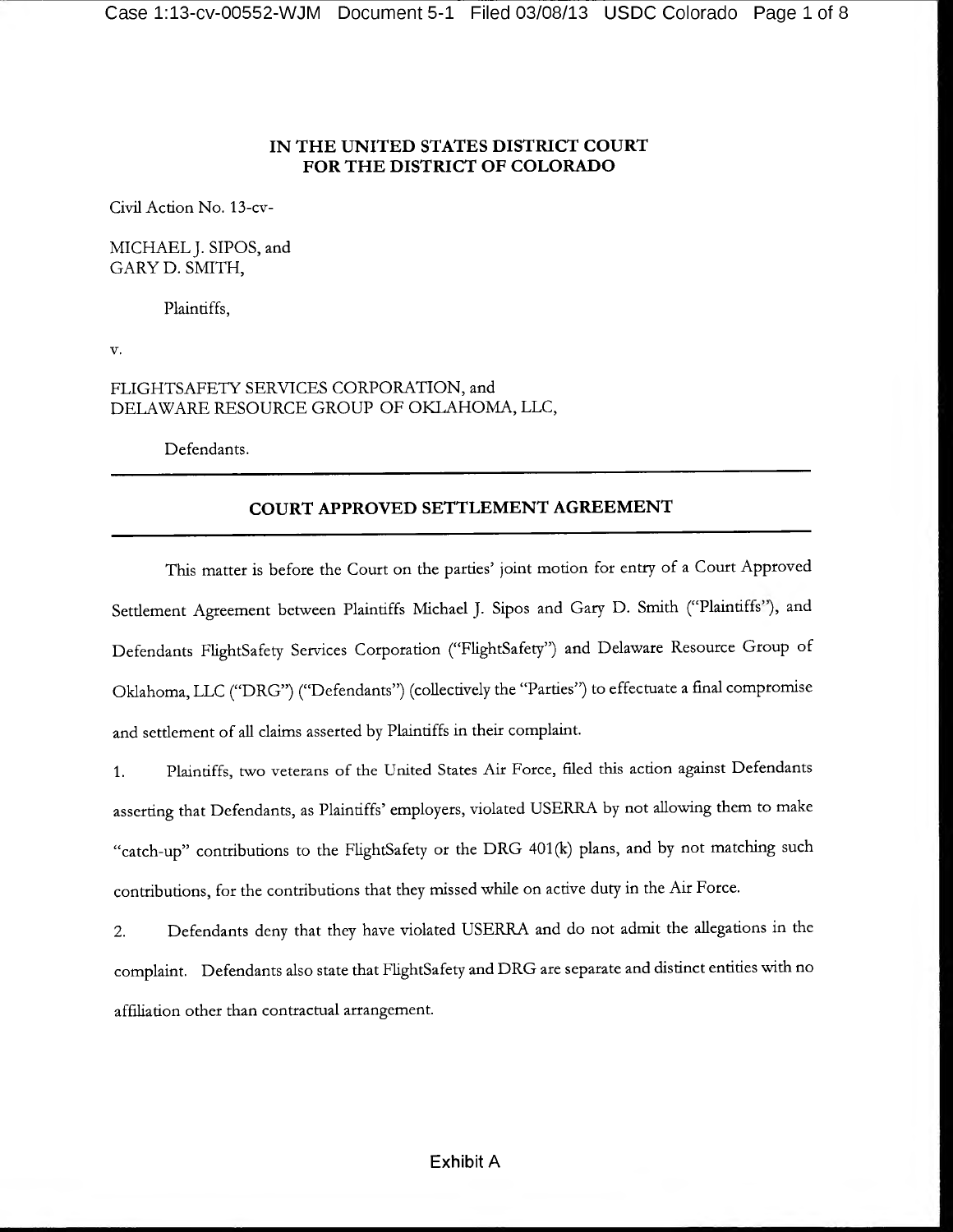# **IN THE UNITED STATES DISTRICT COURT FOR THE DISTRICT OF COLORADO**

Civil Action No. 13-cv-

MICHAEL J. SIPOS, and GARY D. SMITH,

Plaintiffs,

v.

# FLIGHTSAFETY SERVICES CORPORATION, and DELAWARE RESOURCE GROUP OF OKLAHOMA, LLC,

Defendants.

# **COURT APPROVED SETTLEMENT AGREEMENT**

This matter is before the Court on the parties' joint motion for entry of a Court Approved Settlement Agreement between Plaintiffs Michael J. Sipos and Gary D. Smith ("Plaintiffs"), and Defendants FlightSafety Services Corporation ("FlightSafety") and Delaware Resource Group of Oklahoma, LLC ("DRG") ("Defendants") (collectively the "Parties") to effectuate a final compromise and settlement of all claims asserted by Plaintiffs in their complaint.

1. Plaintiffs, two veterans of the United States Air Force, filed this action against Defendants asserting that Defendants, as Plaintiffs' employers, violated USERRA by not allowing them to make "catch-up" contributions to the FlightSafety or the DRG 401 (k) plans, and by not matching such contributions, for the contributions that they missed while on active duty in the Air Force.

2. Defendants deny that they have violated USERRA and do not admit the allegations in the complaint. Defendants also state that FlightSafety and DRG are separate and distinct entities with no affiliation other than contractual arrangement.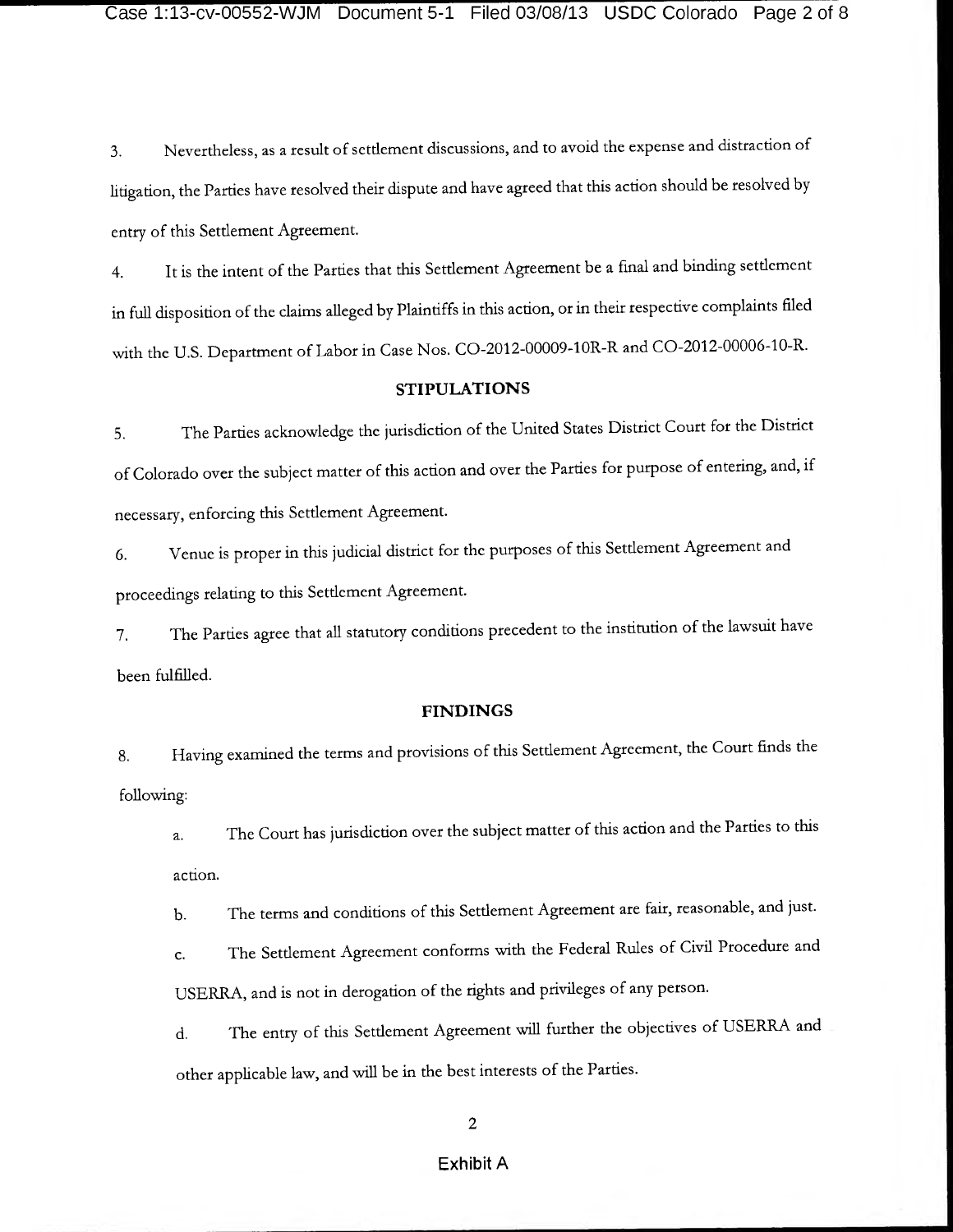3. Nevertheless, as a result of settlement discussions, and to avoid the expense and distraction of litigation, the Parties have resolved their dispute and have agreed that this action should be resolved by entry of this Setdement Agreement.

4. It is the intent of the Parties that this Setdement Agreement be a final and binding setdement in full disposition of the claims alleged by Plaintiffs in this action, or in their respective complaints filed with the U.S. Department of Labor in Case Nos. C0-2012-00009-10R-R and CO-2012-00006-10-R.

# **STIPULATIONS**

5. The Parties acknowledge the jurisdiction of the United States District Court for the District of Colorado over the subject matter of this action and over the Parties for purpose of entering, and, if necessary, enforcing this Settlement Agreement.

6. Venue is proper in this judicial district for the purposes of this Settlement Agreement and proceedings relating to this Settlement Agreement.

7. The Parties agree that all statutory conditions precedent to the institution of the lawsuit have been fulfilled.

### **FINDINGS**

8. Having examined the terms and provisions of this Setdement Agreement, the Court finds the following:

a. The Court has jurisdiction over the subject matter of this action and the Parties to this action.

b. The terms and conditions of this Setdement Agreement are fair, reasonable, and just.

c. The Settlement Agreement conforms with the Federal Rules of Civil Procedure and USERRA, and is not in derogation of the rights and privileges of any person.

d. The entry of this Setdement Agreement will further the objectives of USERRA and other applicable law, and will be in the best interests of the Parties.

**2**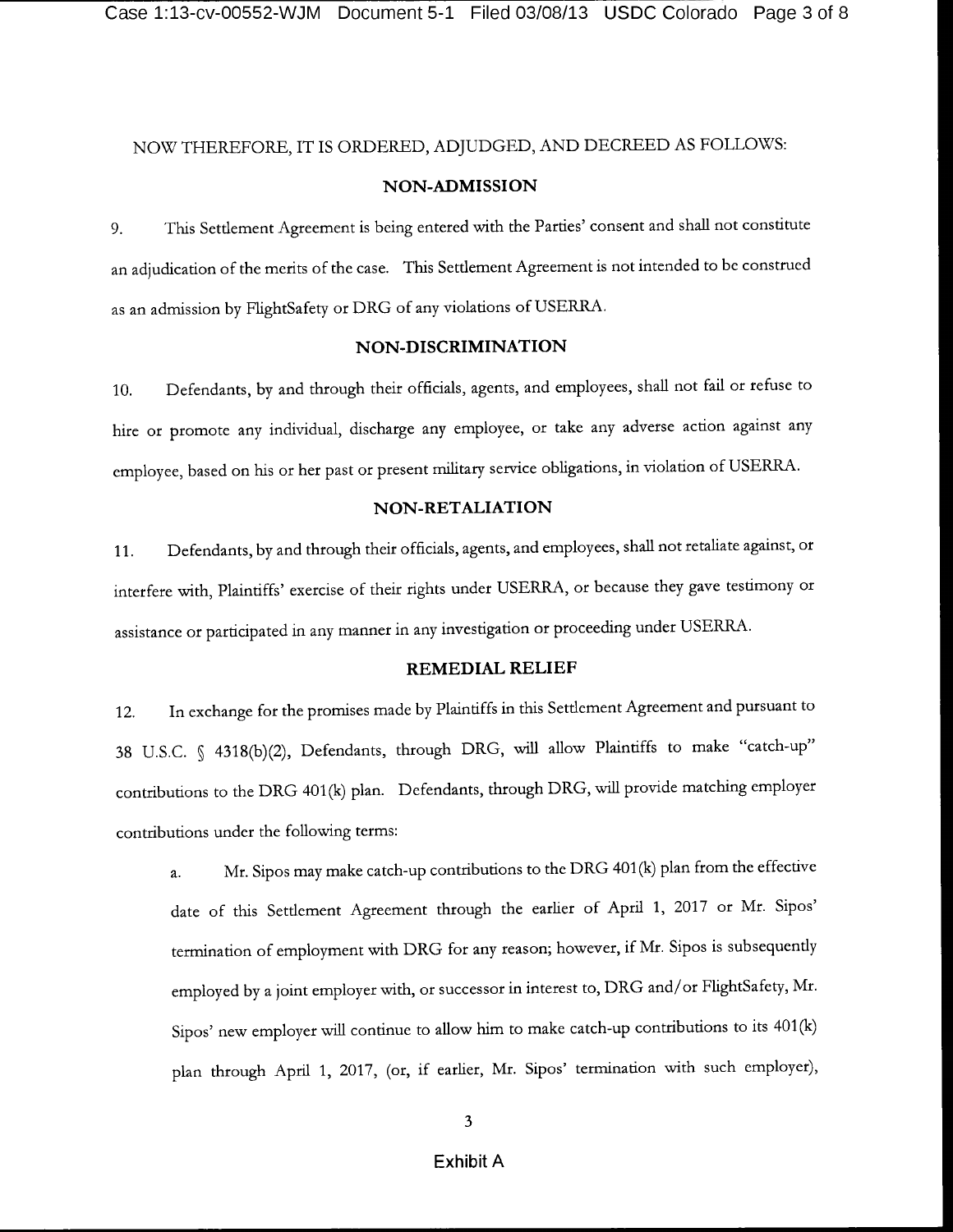# NOW THEREFORE, IT IS ORDERED, ADJUDGED, AND DECREED AS FOLLOWS:

## **NON-ADMISSION**

9. This Setdement Agreement is being entered with the Parties' consent and shall not constitute an adjudication of the merits of the case. This Setdement Agreement is not intended to be construed as an admission by FlightSafety or DRG of any violations of USERRA.

#### **NON-DISCRIMINATION**

10. Defendants, by and through their officials, agents, and employees, shall not fail or refuse to hire or promote any individual, discharge any employee, or take any adverse action against any employee, based on his or her past or present military service obligations, in violation of USERRA.

# **NON-RETALIATION**

11. Defendants, by and through their officials, agents, and employees, shall not retaliate against, or interfere with, Plaintiffs' exercise of their rights under USERRA, or because they gave testimony or assistance or participated in any manner in any investigation or proceeding under USERRA.

#### **REMEDIAL RELIEF**

12. In exchange for the promises made by Plaintiffs in this Setdement Agreement and pursuant to 38 U.S.C. § 4318(b)(2), Defendants, through DRG, will allow Plaintiffs to make "catch-up" contributions to the DRG 401(k) plan. Defendants, through DRG, will provide matching employer contributions under the following terms:

a. Mr. Sipos may make catch-up contributions to the DRG 401 (k) plan from the effective date of this Setdement Agreement through the earlier of April 1, 2017 or Mr. Sipos' termination of employment with DRG for any reason; however, if Mr. Sipos is subsequendy employed by a joint employer with, or successor in interest to, DRG and/or FlightSafety, Mr. Sipos' new employer will continue to allow him to make catch-up contributions to its 401(k) plan through April 1, 2017, (or, if earlier, Mr. Sipos' termination with such employer),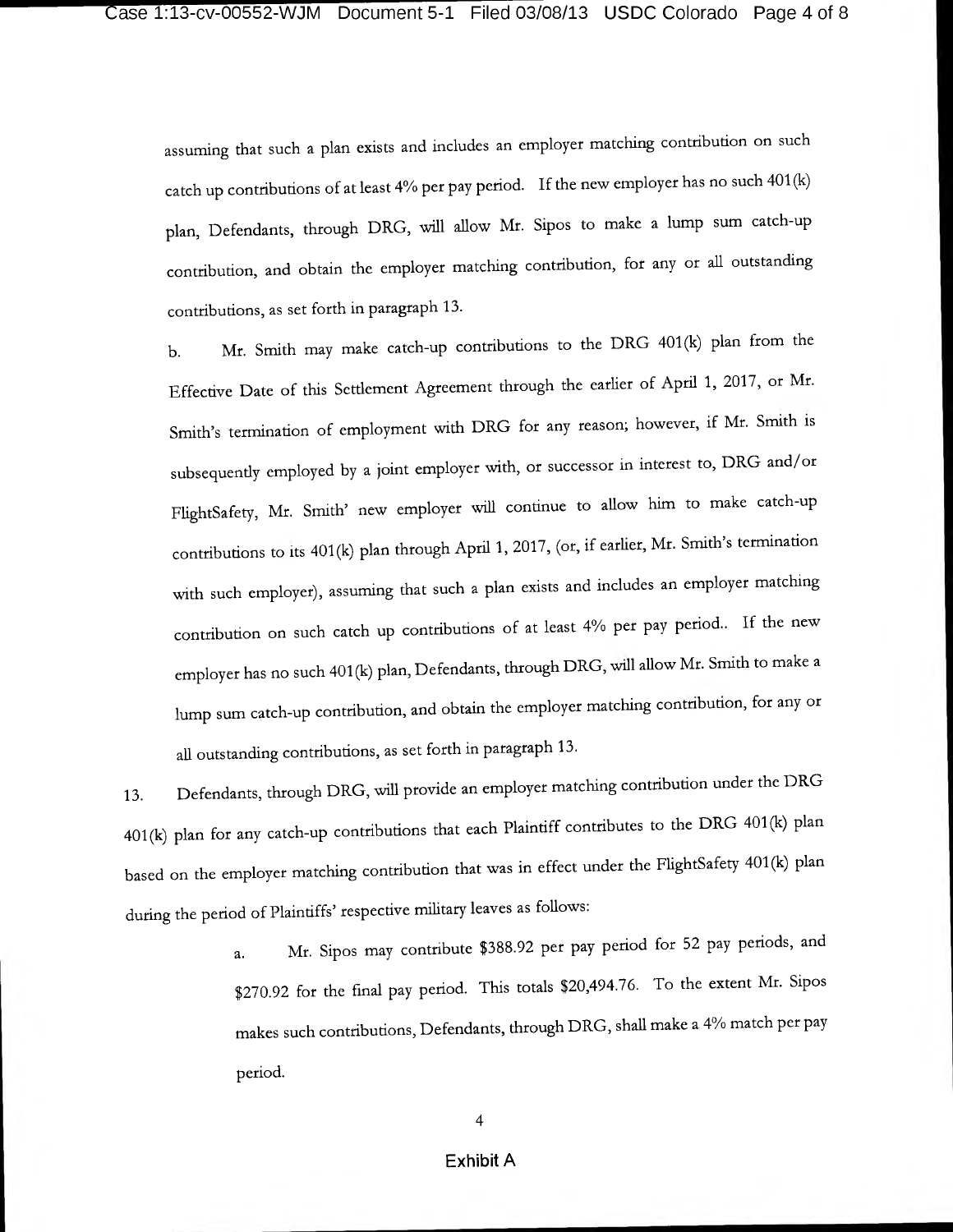assuming that such a plan exists and includes an employer matching contribution on such catch up contributions of at least 4% per pay period. If the new employer has no such 401 (k) plan, Defendants, through DRG, will allow Mr. Sipos to make a lump sum catch-up contribution, and obtain the employer matching contribution, for any or all outstanding contributions, as set forth in paragraph 13.

b. Mr. Smith may make catch-up contributions to the DRG 401(k) plan from the Effective Date of this Settlement Agreement through the earlier of April 1, 2017, or Mr. Smith's termination of employment with DRG for any reason; however, if Mr. Smith is subsequendy employed by a joint employer with, or successor in interest to, DRG and/or FlightSafety, Mr. Smith' new employer will continue to allow him to make catch-up contributions to its 401(k) plan through April 1, 2017, (or, if earlier, Mr. Smith's termination with such employer), assuming that such a plan exists and includes an employer matching contribution on such catch up contributions of at least 4% per pay period.. If the new employer has no such 401 (k) plan, Defendants, through DRG, will allow Mr. Smith to make a lump sum catch-up contribution, and obtain the employer matching contribution, for any or all outstanding contributions, as set forth in paragraph 13.

13. Defendants, through DRG, will provide an employer matching contribution under the DRG 401(k) plan for any catch-up contributions that each Plaintiff contributes to the DRG 401(k) plan based on the employer matching contribution that was in effect under the FlightSafety 401 (k) plan during the period of Plaintiffs' respective military leaves as follows:

> a. Mr. Sipos may contribute \$388.92 per pay period for 52 pay periods, and \$270.92 for the final pay period. This totals \$20,494.76. To the extent Mr. Sipos makes such contributions, Defendants, through DRG, shall make a 4% match per pay period.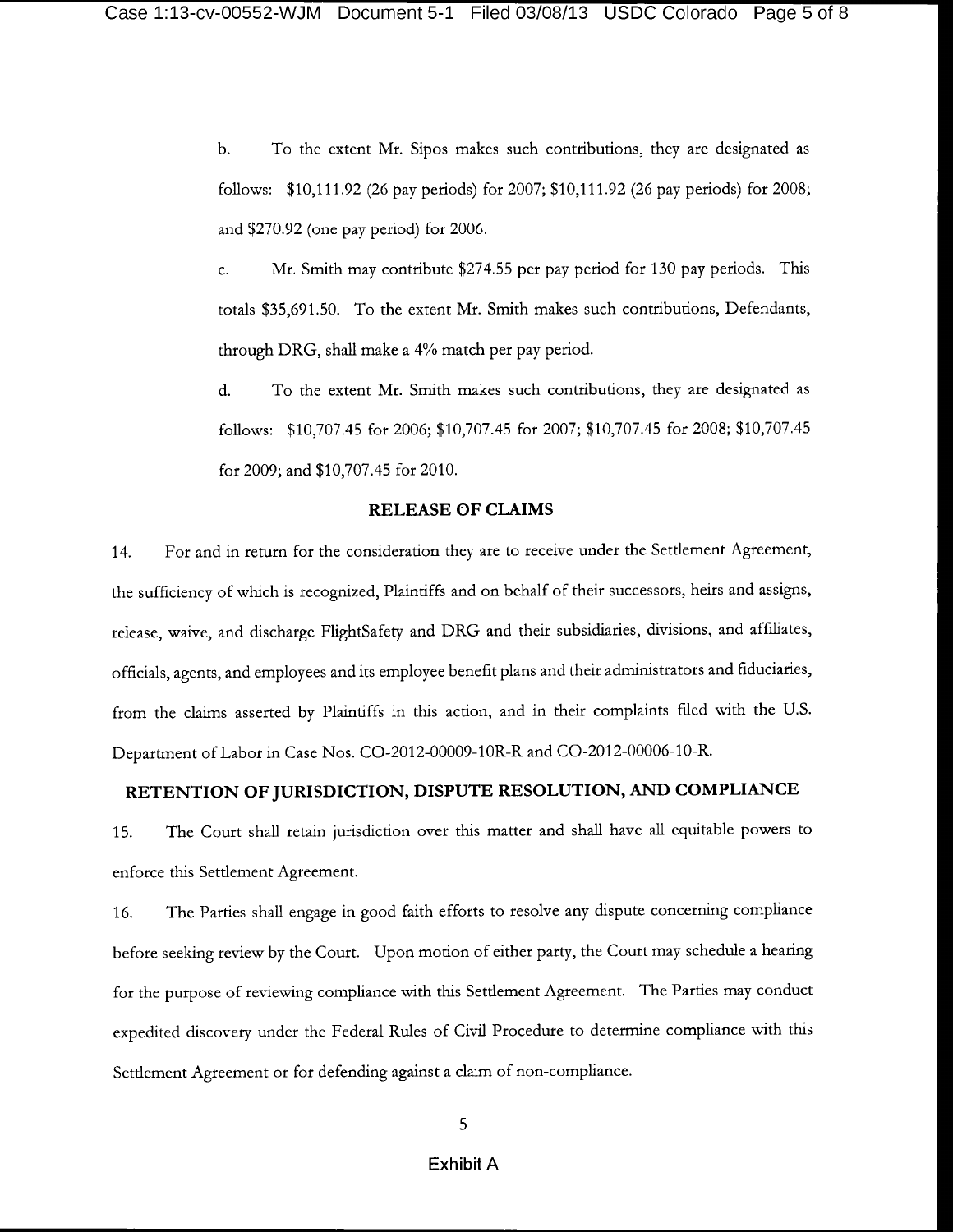b. To the extent Mr. Sipos makes such contributions, they are designated as follows: \$10,111.92 (26 pay periods) for 2007; \$10,111.92 (26 pay periods) for 2008; and \$270.92 (one pay period) for 2006.

c. Mr. Smith may contribute \$274.55 per pay period for 130 pay periods. This totals \$35,691.50. To the extent Mr. Smith makes such contributions, Defendants, through DRG, shall make a 4% match per pay period.

d. To the extent Mr. Smith makes such contributions, they are designated as follows: \$10,707.45 for 2006; \$10,707.45 for 2007; \$10,707.45 for 2008; \$10,707.45 for 2009; and \$10,707.45 for 2010.

#### **RELEASE OF CLAIMS**

14. For and in return for the consideration they are to receive under the Setdement Agreement, the sufficiency of which is recognized, Plaintiffs and on behalf of their successors, heirs and assigns, release, waive, and discharge FlightSafety and DRG and their subsidiaries, divisions, and affiliates, officials, agents, and employees and its employee benefit plans and their administrators and fiduciaries, from the claims asserted by Plaintiffs in this action, and in their complaints filed with the U.S. Department of Labor in Case Nos. CO-2012-00009-10R-R and CO-2012-00006-10-R.

# **RETENTION OF JURISDICTION, DISPUTE RESOLUTION, AND COMPLIANCE**

15. The Court shall retain jurisdiction over this matter and shall have all equitable powers to enforce this Setdement Agreement.

16. The Parties shall engage in good faith efforts to resolve any dispute concerning compliance before seeking review by the Court. Upon motion of either party, the Court may schedule a hearing for the purpose of reviewing compliance with this Setdement Agreement. The Parties may conduct expedited discovery under the Federal Rules of Civil Procedure to determine compliance with this Setdement Agreement or for defending against a claim of non-compliance.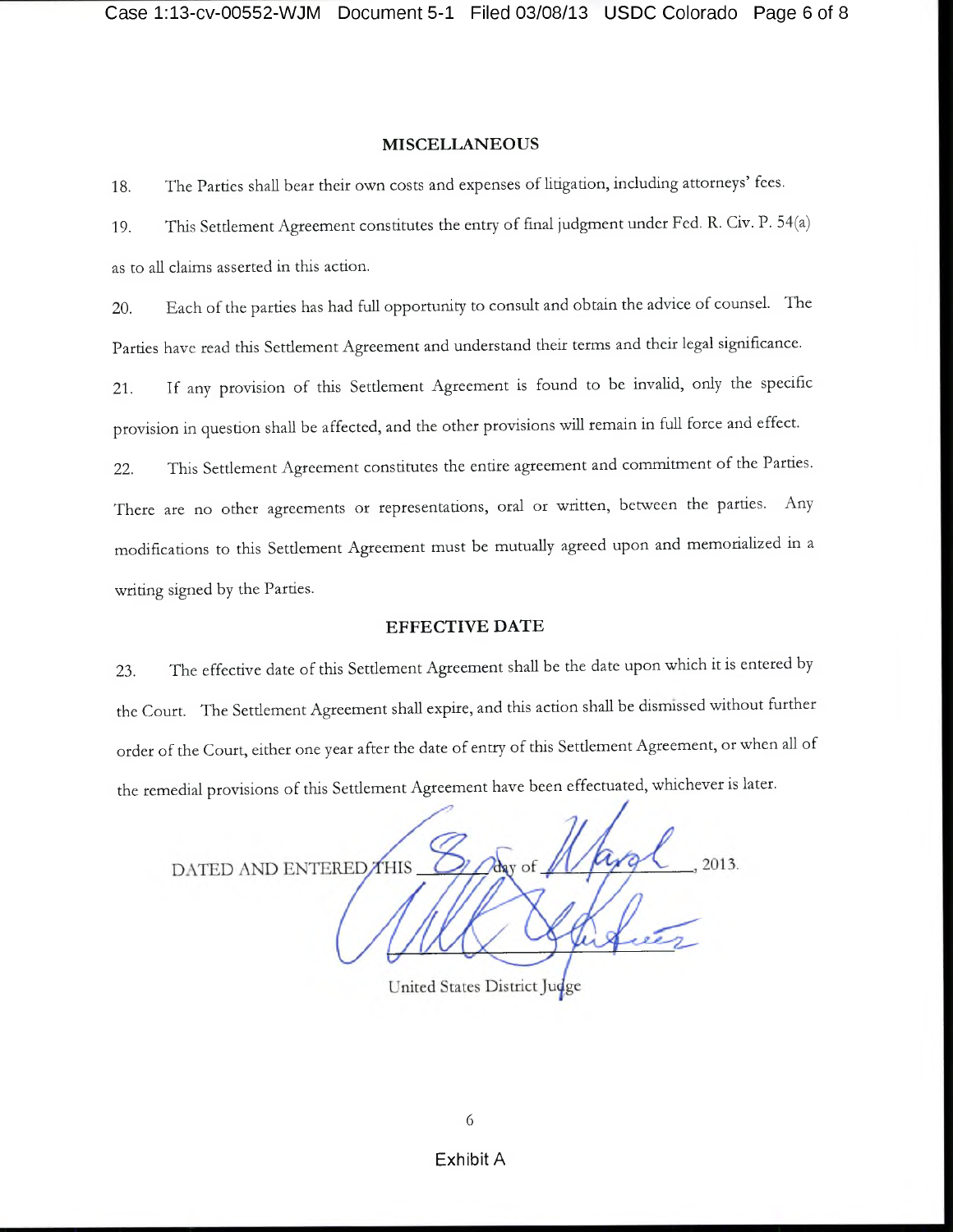#### MISCELLANEOUS

18. The Parties shall bear their own costs and expenses of litigation, including attorneys' fees.

19. This Settlement Agreement constitutes the entry of final judgment under Fed. R. Civ. P. 54(a) as to all claims asserted in this action.

20. Each of the parties has had full opportunity to consult and obtain the advice of counsel. The Parties have read this Settlement Agreement and understand their terms and their legal significance.

21. If any provision of this Setdement Agreement is found to be invalid, only the specific provision in question shall be affected, and the other provisions will remain in full force and effect.

22. This Settlement Agreement constitutes the entire agreement and commitment of the Parties. There are no other agreements or representations, oral or written, between the parties. Any modifications to this Setdement Agreement must be mutually agreed upon and memorialized in a writing signed by the Parties.

#### EFFECTIVE DATE

23. The effective date of this Setdement Agreement shall be the date upon which it is entered by the Court. The Setdement Agreement shall expire, and this action shall be dismissed without further order of the Court, either one year after the date of entry of this Setdement Agreement, or when all of the remedial provisions of this Setdement Agreement have been effectuated, whichever is later.

DATED AND ENTERED THIS 2013.

United States District Judge

6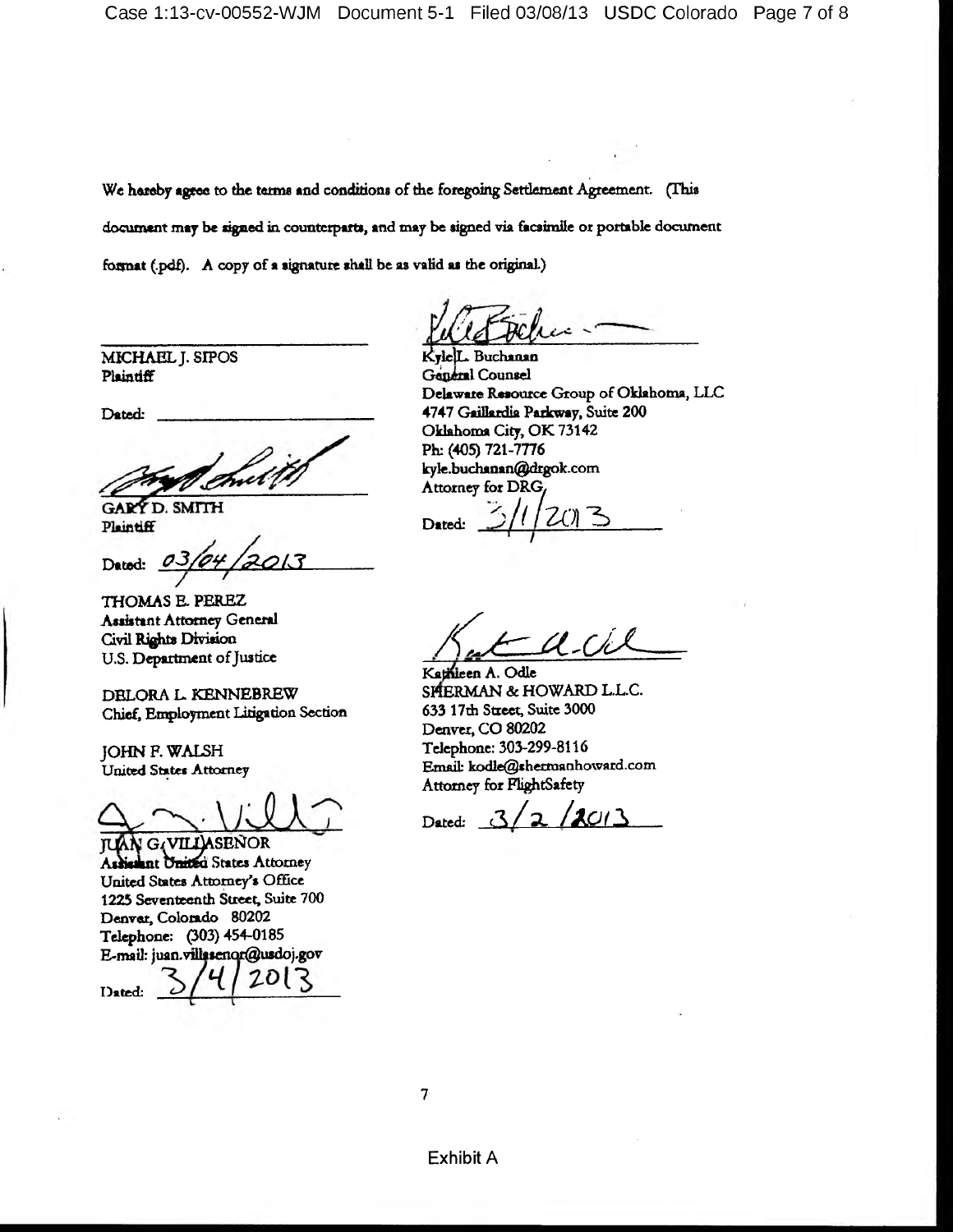**We hereby agree to the terms \*nd conditions of the foregoing Setdement Agreement. (This** document may be signed in counterparts, and may be signed via facsimile or portable document **format (.pdf). A copy of a signature shall be as valid as the original)**

**MICHAEL J. SIPOS Plaintiff**

**Dated: \_\_\_\_\_\_\_\_\_\_**

**GARY D. SMITH** Plaintiff

Dated:

**THOMAS E. PEREZ Assistant Attorney General Civil Rights Division U.S. Department of Justice**

**DELORA L. KENNEBREW Chief, Employment Litigation Section**

**JOHN F. WALSH United States Attorney**

 $G<sub>4</sub>VILL$ ASENOR **TUAN Ashismnt United States Attorney United States Attorney's Office 1225 Seventeenth Street, Suite 700 Denver, Colorado 80202 Telephone: (303) 454-0185 E-mail: [juan.vtUscnor@usdoj.gov](mailto:juan.vtUscnor@usdoj.gov)**

Dated:

**KjlejL. Buchanan** Gandral Counsel **Delaware Resource Group of Oklahoma, LLC 4747 Gaillardia Parkway, Suite 200 Oklahoma City, OK 73142 Ph; (405) 721-7776 [kyle.buchanan@drgok.com](mailto:kyle.buchanan@drgok.com) Attorney for DRGy**

Dated:  $\frac{3}{1203}$ 

*/C<sup>6</sup> =lAM* —

Kathleen A. Odle **SHERMAN & HOWARD L.L.C. 633 17th Street, Suite 3000 Denver, CO 80202 Telephone: 303-299-8116 Email**1 **[kodle@shermanhoward.com](mailto:kodle@shermanhoward.com) Attorney for FlightSafety**

Dated: 3/2/2013

7